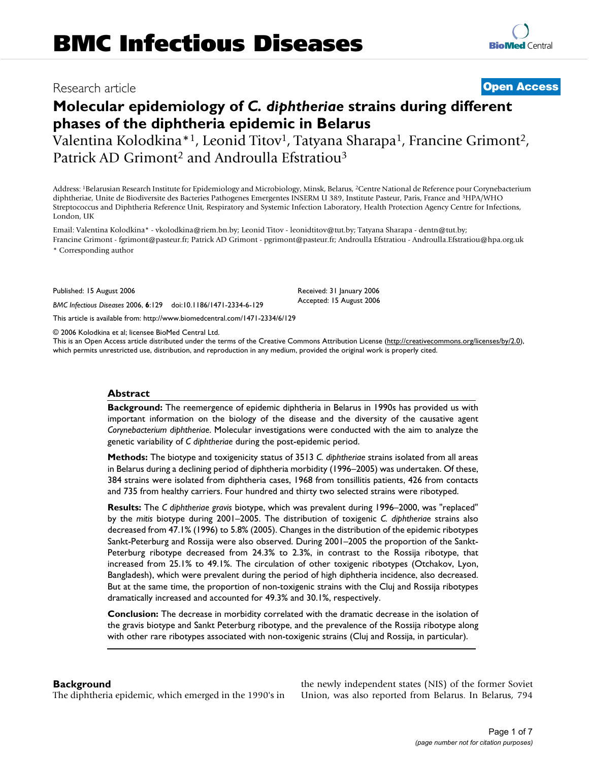### Research article **[Open Access](http://www.biomedcentral.com/info/about/charter/)**

# **Molecular epidemiology of** *C. diphtheriae* **strains during different phases of the diphtheria epidemic in Belarus**

Valentina Kolodkina\*<sup>1</sup>, Leonid Titov<sup>1</sup>, Tatyana Sharapa<sup>1</sup>, Francine Grimont<sup>2</sup>, Patrick AD Grimont<sup>2</sup> and Androulla Efstratiou<sup>3</sup>

Address: <sup>1</sup>Belarusian Research Institute for Epidemiology and Microbiology, Minsk, Belarus, <sup>2</sup>Centre National de Reference pour Corynebacterium diphtheriae, Unite de Biodiversite des Bacteries Pathogenes Emergentes INSERM U 389, Institute Pasteur, Paris, France and <sup>3</sup>HPA/WHO Streptococcus and Diphtheria Reference Unit, Respiratory and Systemic Infection Laboratory, Health Protection Agency Centre for Infections, London, UK

Email: Valentina Kolodkina\* - vkolodkina@riem.bn.by; Leonid Titov - leonidtitov@tut.by; Tatyana Sharapa - dentn@tut.by; Francine Grimont - fgrimont@pasteur.fr; Patrick AD Grimont - pgrimont@pasteur.fr; Androulla Efstratiou - Androulla.Efstratiou@hpa.org.uk \* Corresponding author

> Received: 31 January 2006 Accepted: 15 August 2006

Published: 15 August 2006

*BMC Infectious Diseases* 2006, **6**:129 doi:10.1186/1471-2334-6-129

[This article is available from: http://www.biomedcentral.com/1471-2334/6/129](http://www.biomedcentral.com/1471-2334/6/129)

© 2006 Kolodkina et al; licensee BioMed Central Ltd.

This is an Open Access article distributed under the terms of the Creative Commons Attribution License [\(http://creativecommons.org/licenses/by/2.0\)](http://creativecommons.org/licenses/by/2.0), which permits unrestricted use, distribution, and reproduction in any medium, provided the original work is properly cited.

#### **Abstract**

**Background:** The reemergence of epidemic diphtheria in Belarus in 1990s has provided us with important information on the biology of the disease and the diversity of the causative agent *Corynebacterium diphtheriae*. Molecular investigations were conducted with the aim to analyze the genetic variability of *C diphtheriae* during the post-epidemic period.

**Methods:** The biotype and toxigenicity status of 3513 *C. diphtheriae* strains isolated from all areas in Belarus during a declining period of diphtheria morbidity (1996–2005) was undertaken. Of these, 384 strains were isolated from diphtheria cases, 1968 from tonsillitis patients, 426 from contacts and 735 from healthy carriers. Four hundred and thirty two selected strains were ribotyped.

**Results:** The *C diphtheriae gravis* biotype, which was prevalent during 1996–2000, was "replaced" by the *mitis* biotype during 2001–2005. The distribution of toxigenic *C. diphtheriae* strains also decreased from 47.1% (1996) to 5.8% (2005). Changes in the distribution of the epidemic ribotypes Sankt-Peterburg and Rossija were also observed. During 2001–2005 the proportion of the Sankt-Peterburg ribotype decreased from 24.3% to 2.3%, in contrast to the Rossija ribotype, that increased from 25.1% to 49.1%. The circulation of other toxigenic ribotypes (Otchakov, Lyon, Bangladesh), which were prevalent during the period of high diphtheria incidence, also decreased. But at the same time, the proportion of non-toxigenic strains with the Cluj and Rossija ribotypes dramatically increased and accounted for 49.3% and 30.1%, respectively.

**Conclusion:** The decrease in morbidity correlated with the dramatic decrease in the isolation of the gravis biotype and Sankt Peterburg ribotype, and the prevalence of the Rossija ribotype along with other rare ribotypes associated with non-toxigenic strains (Cluj and Rossija, in particular).

#### **Background**

The diphtheria epidemic, which emerged in the 1990's in

the newly independent states (NIS) of the former Soviet Union, was also reported from Belarus. In Belarus, 794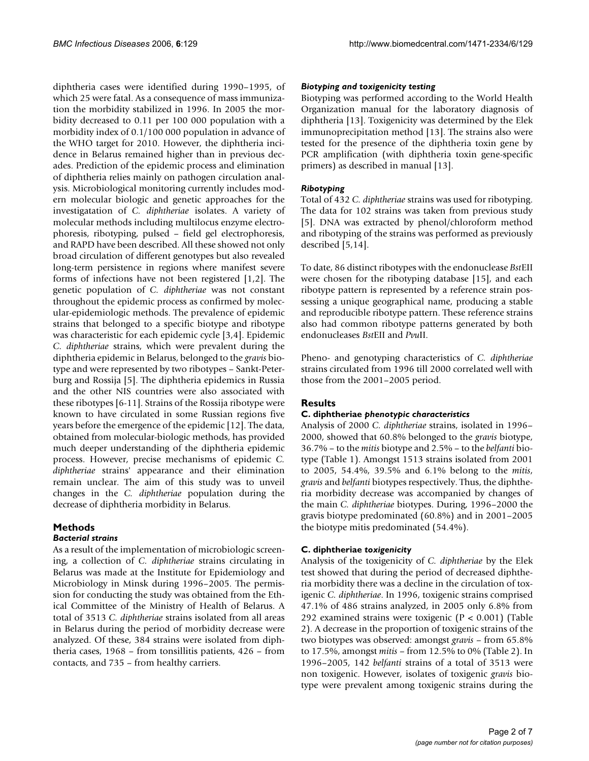diphtheria cases were identified during 1990–1995, of which 25 were fatal. As a consequence of mass immunization the morbidity stabilized in 1996. In 2005 the morbidity decreased to 0.11 per 100 000 population with a morbidity index of 0.1/100 000 population in advance of the WHO target for 2010. However, the diphtheria incidence in Belarus remained higher than in previous decades. Prediction of the epidemic process and elimination of diphtheria relies mainly on pathogen circulation analysis. Microbiological monitoring currently includes modern molecular biologic and genetic approaches for the investigatation of *C. diphtheriae* isolates. A variety of molecular methods including multilocus enzyme electrophoresis, ribotyping, pulsed – field gel electrophoresis, and RAPD have been described. All these showed not only broad circulation of different genotypes but also revealed long-term persistence in regions where manifest severe forms of infections have not been registered [1,2]. The genetic population of *C. diphtheriae* was not constant throughout the epidemic process as confirmed by molecular-epidemiologic methods. The prevalence of epidemic strains that belonged to a specific biotype and ribotype was characteristic for each epidemic cycle [[3,](#page-5-0)4]. Epidemic *C. diphtheriae* strains, which were prevalent during the diphtheria epidemic in Belarus, belonged to the *gravis* biotype and were represented by two ribotypes – Sankt-Peterburg and Rossija [5]. The diphtheria epidemics in Russia and the other NIS countries were also associated with these ribotypes [6-11]. Strains of the Rossija ribotype were known to have circulated in some Russian regions five years before the emergence of the epidemic [\[12](#page-6-0)]. The data, obtained from molecular-biologic methods, has provided much deeper understanding of the diphtheria epidemic process. However, precise mechanisms of epidemic *C. diphtheriae* strains' appearance and their elimination remain unclear. The aim of this study was to unveil changes in the *C. diphtheriae* population during the decrease of diphtheria morbidity in Belarus.

## **Methods**

#### *Bacterial strains*

As a result of the implementation of microbiologic screening, a collection of *C. diphtheriae* strains circulating in Belarus was made at the Institute for Epidemiology and Microbiology in Minsk during 1996–2005. The permission for conducting the study was obtained from the Ethical Committee of the Ministry of Health of Belarus. A total of 3513 *C. diphtheriae* strains isolated from all areas in Belarus during the period of morbidity decrease were analyzed. Of these, 384 strains were isolated from diphtheria cases, 1968 – from tonsillitis patients, 426 – from contacts, and 735 – from healthy carriers.

#### *Biotyping and toxigenicity testing*

Biotyping was performed according to the World Health Organization manual for the laboratory diagnosis of diphtheria [13]. Toxigenicity was determined by the Elek immunoprecipitation method [13]. The strains also were tested for the presence of the diphtheria toxin gene by PCR amplification (with diphtheria toxin gene-specific primers) as described in manual [13].

#### *Ribotyping*

Total of 432 *C. diphtheriae* strains was used for ribotyping. The data for 102 strains was taken from previous study [5]. DNA was extracted by phenol/chloroform method and ribotyping of the strains was performed as previously described [5,14].

To date, 86 distinct ribotypes with the endonuclease *Bst*EII were chosen for the ribotyping database [15], and each ribotype pattern is represented by a reference strain possessing a unique geographical name, producing a stable and reproducible ribotype pattern. These reference strains also had common ribotype patterns generated by both endonucleases *Bst*EII and *Pvu*II.

Pheno- and genotyping characteristics of *C. diphtheriae* strains circulated from 1996 till 2000 correlated well with those from the 2001–2005 period.

### **Results**

#### **C. diphtheriae** *phenotypic characteristics*

Analysis of 2000 *C. diphtheriae* strains, isolated in 1996– 2000, showed that 60.8% belonged to the *gravis* biotype, 36.7% – to the *mitis* biotype and 2.5% – to the *belfanti* biotype (Table 1). Amongst 1513 strains isolated from 2001 to 2005, 54.4%, 39.5% and 6.1% belong to the *mitis*, *gravis* and *belfanti* biotypes respectively. Thus, the diphtheria morbidity decrease was accompanied by changes of the main *C. diphtheriae* biotypes. During, 1996–2000 the gravis biotype predominated (60.8%) and in 2001–2005 the biotype mitis predominated (54.4%).

#### **C. diphtheriae** *toxigenicity*

Analysis of the toxigenicity of *C. diphtheriae* by the Elek test showed that during the period of decreased diphtheria morbidity there was a decline in the circulation of toxigenic *C. diphtheriae*. In 1996, toxigenic strains comprised 47.1% of 486 strains analyzed, in 2005 only 6.8% from 292 examined strains were toxigenic  $(P < 0.001)$  (Table 2). A decrease in the proportion of toxigenic strains of the two biotypes was observed: amongst *gravis* – from 65.8% to 17.5%, amongst *mitis* – from 12.5% to 0% (Table 2). In 1996–2005, 142 *belfanti* strains of a total of 3513 were non toxigenic. However, isolates of toxigenic *gravis* biotype were prevalent among toxigenic strains during the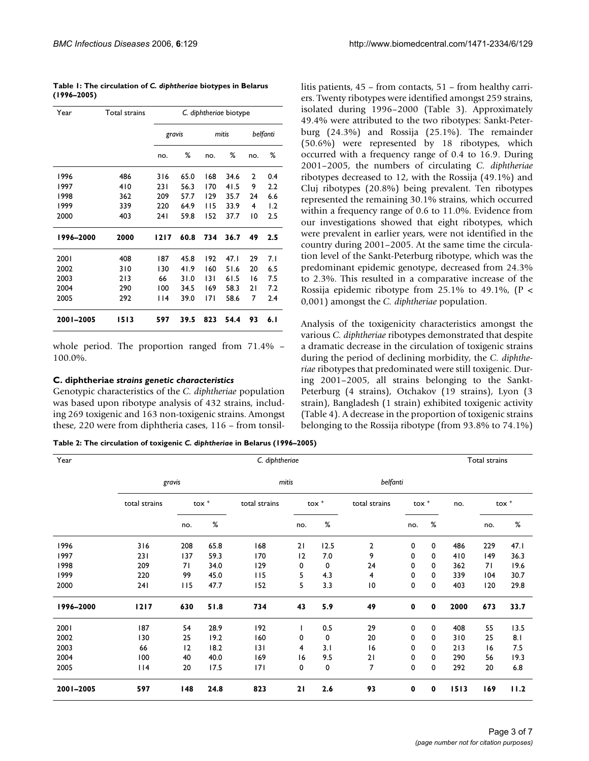|             |  | Table 1: The circulation of C. diphtheriae biotypes in Belarus |  |
|-------------|--|----------------------------------------------------------------|--|
| (1996–2005) |  |                                                                |  |

| Year      | Total strains | C. diphtheriae biotype |      |     |       |          |      |  |
|-----------|---------------|------------------------|------|-----|-------|----------|------|--|
|           |               | gravis                 |      |     | mitis | belfanti |      |  |
|           |               | no.                    | %    | no. | %     | no.      | %    |  |
| 1996      | 486           | 316                    | 65.0 | 168 | 34.6  | 2        | 0.4  |  |
| 1997      | 410           | 23 I                   | 56.3 | 170 | 41.5  | 9        | 2.2  |  |
| 1998      | 362           | 209                    | 57.7 | 129 | 35.7  | 24       | 6.6  |  |
| 1999      | 339           | 220                    | 64.9 | 115 | 33.9  | 4        | 1.2  |  |
| 2000      | 403           | 241                    | 59.8 | 152 | 37.7  | 10       | 2.5  |  |
| 1996-2000 | 2000          | 1217                   | 60.8 | 734 | 36.7  | 49       | 2.5  |  |
| 2001      | 408           | 187                    | 45.8 | 192 | 47.I  | 29       | 7. I |  |
| 2002      | 310           | 130                    | 41.9 | 160 | 51.6  | 20       | 6.5  |  |
| 2003      | 213           | 66                     | 31.0 | 131 | 61.5  | 16       | 7.5  |  |
| 2004      | 290           | 100                    | 34.5 | 169 | 58.3  | 21       | 7.2  |  |
| 2005      | 292           | l 14                   | 39.0 | 171 | 58.6  | 7        | 2.4  |  |
| 2001-2005 | 1513          | 597                    | 39.5 | 823 | 54.4  | 93       | 6. I |  |

whole period. The proportion ranged from 71.4% – 100.0%.

#### **C. diphtheriae** *strains genetic characteristics*

Genotypic characteristics of the *C. diphtheriae* population was based upon ribotype analysis of 432 strains, including 269 toxigenic and 163 non-toxigenic strains. Amongst these, 220 were from diphtheria cases, 116 – from tonsil-

**Table 2: The circulation of toxigenic** *C. diphtheriae* **in Belarus (1996–2005)**

litis patients, 45 – from contacts, 51 – from healthy carriers. Twenty ribotypes were identified amongst 259 strains, isolated during 1996–2000 (Table 3). Approximately 49.4% were attributed to the two ribotypes: Sankt-Peterburg (24.3%) and Rossija (25.1%). The remainder (50.6%) were represented by 18 ribotypes, which occurred with a frequency range of 0.4 to 16.9. During 2001–2005, the numbers of circulating *C. diphtheriae* ribotypes decreased to 12, with the Rossija (49.1%) and Cluj ribotypes (20.8%) being prevalent. Ten ribotypes represented the remaining 30.1% strains, which occurred within a frequency range of 0.6 to 11.0%. Evidence from our investigations showed that eight ribotypes, which were prevalent in earlier years, were not identified in the country during 2001–2005. At the same time the circulation level of the Sankt-Peterburg ribotype, which was the predominant epidemic genotype, decreased from 24.3% to 2.3%. This resulted in a comparative increase of the Rossija epidemic ribotype from 25.1% to 49.1%,  $(P \leq$ 0,001) amongst the *C. diphtheriae* population.

Analysis of the toxigenicity characteristics amongst the various *C. diphtheriae* ribotypes demonstrated that despite a dramatic decrease in the circulation of toxigenic strains during the period of declining morbidity, the *C. diphtheriae* ribotypes that predominated were still toxigenic. During 2001–2005, all strains belonging to the Sankt-Peterburg (4 strains), Otchakov (19 strains), Lyon (3 strain), Bangladesh (1 strain) exhibited toxigenic activity (Table 4). A decrease in the proportion of toxigenic strains belonging to the Rossija ribotype (from 93.8% to 74.1%)

| Year      |               |                     |      | C. diphtheriae |                  |      |               |                           |          | Total strains |                  |      |  |
|-----------|---------------|---------------------|------|----------------|------------------|------|---------------|---------------------------|----------|---------------|------------------|------|--|
|           |               | gravis              |      | mitis          |                  |      | belfanti      |                           |          |               |                  |      |  |
|           | total strains | $\text{to}\times$ + |      | total strains  | tox <sup>+</sup> |      | total strains | $\text{tox}$ <sup>+</sup> |          | no.           | tox <sup>+</sup> |      |  |
|           |               | no.                 | %    |                | no.              | %    |               | no.                       | %        |               | no.              | %    |  |
| 1996      | 316           | 208                 | 65.8 | 168            | 21               | 12.5 | 2             | 0                         | 0        | 486           | 229              | 47.1 |  |
| 1997      | 231           | 137                 | 59.3 | 170            | 12               | 7.0  | 9             | 0                         | 0        | 410           | 149              | 36.3 |  |
| 1998      | 209           | 71                  | 34.0 | 129            | 0                | 0    | 24            | 0                         | 0        | 362           | 71               | 19.6 |  |
| 1999      | 220           | 99                  | 45.0 | 115            | 5                | 4.3  | 4             | 0                         | $\Omega$ | 339           | 104              | 30.7 |  |
| 2000      | 241           | 115                 | 47.7 | 152            | 5                | 3.3  | 10            | 0                         | 0        | 403           | 120              | 29.8 |  |
| 1996-2000 | $1217$        | 630                 | 51.8 | 734            | 43               | 5.9  | 49            | $\mathbf 0$               | 0        | 2000          | 673              | 33.7 |  |
| 2001      | 187           | 54                  | 28.9 | 192            |                  | 0.5  | 29            | 0                         | 0        | 408           | 55               | 13.5 |  |
| 2002      | 130           | 25                  | 19.2 | 160            | 0                | 0    | 20            | 0                         | 0        | 310           | 25               | 8.1  |  |
| 2003      | 66            | 12                  | 18.2 | 3              | 4                | 3.1  | 16            | 0                         | 0        | 213           | 16               | 7.5  |  |
| 2004      | 100           | 40                  | 40.0 | 169            | 16               | 9.5  | 21            | 0                         | 0        | 290           | 56               | 19.3 |  |
| 2005      | $ $  4        | 20                  | 17.5 | 7              | 0                | 0    | 7             | 0                         | 0        | 292           | 20               | 6.8  |  |
| 2001-2005 | 597           | 148                 | 24.8 | 823            | 21               | 2.6  | 93            | $\mathbf 0$               | 0        | 1513          | 169              | 11.2 |  |
|           |               |                     |      |                |                  |      |               |                           |          |               |                  |      |  |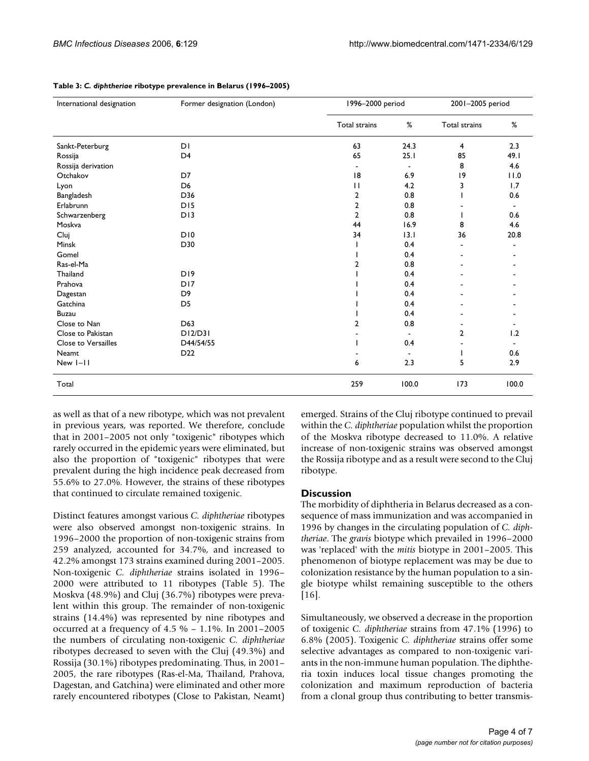| International designation  | Former designation (London) |                      | 1996-2000 period         |                | 2001-2005 period |  |
|----------------------------|-----------------------------|----------------------|--------------------------|----------------|------------------|--|
|                            |                             | <b>Total strains</b> | %                        | Total strains  | %                |  |
| Sankt-Peterburg            | DI                          | 63                   | 24.3                     | $\overline{4}$ | 2.3              |  |
| Rossija                    | D <sub>4</sub>              | 65                   | 25.1                     | 85             | 49.1             |  |
| Rossija derivation         |                             | $\blacksquare$       | $\overline{\phantom{a}}$ | 8              | 4.6              |  |
| Otchakov                   | D7                          | 18                   | 6.9                      | 9              | 11.0             |  |
| Lyon                       | D <sub>6</sub>              | П                    | 4.2                      | 3              | 1.7              |  |
| Bangladesh                 | D36                         | 2                    | 0.8                      |                | 0.6              |  |
| Erlabrunn                  | D <sub>15</sub>             | $\overline{2}$       | 0.8                      |                |                  |  |
| Schwarzenberg              | D13                         | $\overline{2}$       | 0.8                      |                | 0.6              |  |
| Moskva                     |                             | 44                   | 16.9                     | 8              | 4.6              |  |
| Cluj                       | D10                         | 34                   | 13.1                     | 36             | 20.8             |  |
| Minsk                      | D30                         |                      | 0.4                      |                |                  |  |
| Gomel                      |                             |                      | 0.4                      |                |                  |  |
| Ras-el-Ma                  |                             | $\overline{2}$       | 0.8                      |                |                  |  |
| Thailand                   | D <sub>19</sub>             |                      | 0.4                      |                |                  |  |
| Prahova                    | D <sub>17</sub>             |                      | 0.4                      |                |                  |  |
| Dagestan                   | D <sub>9</sub>              |                      | 0.4                      |                |                  |  |
| Gatchina                   | D <sub>5</sub>              |                      | 0.4                      |                |                  |  |
| <b>Buzau</b>               |                             |                      | 0.4                      |                |                  |  |
| Close to Nan               | D63                         | 2                    | 0.8                      |                |                  |  |
| Close to Pakistan          | DI2/D3I                     |                      |                          | $\overline{2}$ | 1.2              |  |
| <b>Close to Versailles</b> | D44/54/55                   |                      | 0.4                      |                |                  |  |
| Neamt                      | D <sub>22</sub>             |                      |                          |                | 0.6              |  |
| New I-II                   |                             | 6                    | 2.3                      | 5              | 2.9              |  |
| Total                      |                             | 259                  | 100.0                    | 173            | 100.0            |  |

**Table 3:** *C. diphtheriae* **ribotype prevalence in Belarus (1996–2005)**

as well as that of a new ribotype, which was not prevalent in previous years, was reported. We therefore, conclude that in 2001–2005 not only "toxigenic" ribotypes which rarely occurred in the epidemic years were eliminated, but also the proportion of "toxigenic" ribotypes that were prevalent during the high incidence peak decreased from 55.6% to 27.0%. However, the strains of these ribotypes that continued to circulate remained toxigenic.

Distinct features amongst various *C. diphtheriae* ribotypes were also observed amongst non-toxigenic strains. In 1996–2000 the proportion of non-toxigenic strains from 259 analyzed, accounted for 34.7%, and increased to 42.2% amongst 173 strains examined during 2001–2005. Non-toxigenic *C. diphtheriae* strains isolated in 1996– 2000 were attributed to 11 ribotypes (Table 5). The Moskva (48.9%) and Cluj (36.7%) ribotypes were prevalent within this group. The remainder of non-toxigenic strains (14.4%) was represented by nine ribotypes and occurred at a frequency of 4.5 % – 1.1%. In 2001–2005 the numbers of circulating non-toxigenic *C. diphtheriae* ribotypes decreased to seven with the Cluj (49.3%) and Rossija (30.1%) ribotypes predominating. Thus, in 2001– 2005, the rare ribotypes (Ras-el-Ma, Thailand, Prahova, Dagestan, and Gatchina) were eliminated and other more rarely encountered ribotypes (Close to Pakistan, Neamt)

emerged. Strains of the Cluj ribotype continued to prevail within the *C. diphtheriae* population whilst the proportion of the Moskva ribotype decreased to 11.0%. A relative increase of non-toxigenic strains was observed amongst the Rossija ribotype and as a result were second to the Cluj ribotype.

#### **Discussion**

The morbidity of diphtheria in Belarus decreased as a consequence of mass immunization and was accompanied in 1996 by changes in the circulating population of *C. diphtheriae*. The *gravis* biotype which prevailed in 1996–2000 was 'replaced' with the *mitis* biotype in 2001–2005. This phenomenon of biotype replacement was may be due to colonization resistance by the human population to a single biotype whilst remaining susceptible to the others [16].

Simultaneously, we observed a decrease in the proportion of toxigenic *C. diphtheriae* strains from 47.1% (1996) to 6.8% (2005). Toxigenic *C. diphtheriae* strains offer some selective advantages as compared to non-toxigenic variants in the non-immune human population. The diphtheria toxin induces local tissue changes promoting the colonization and maximum reproduction of bacteria from a clonal group thus contributing to better transmis-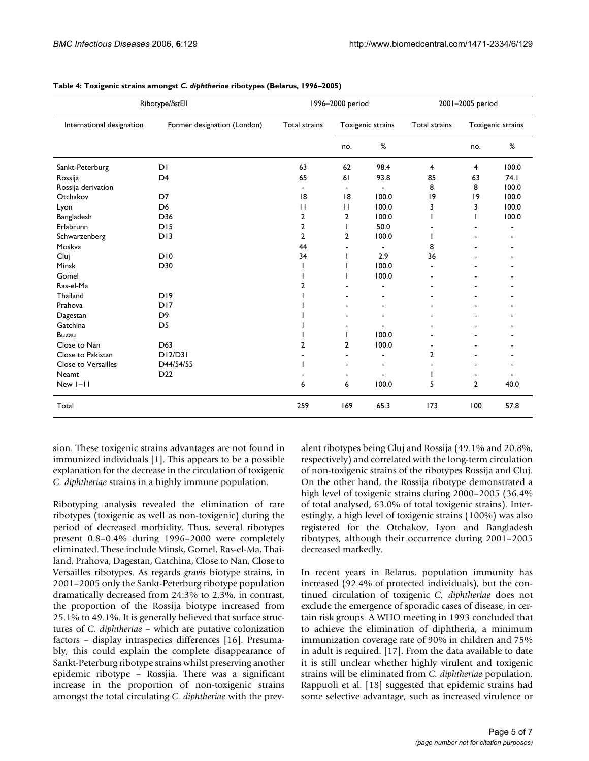| Ribotype/BstEll           |                             | 1996-2000 period |                   | 2001-2005 period         |                |                   |       |
|---------------------------|-----------------------------|------------------|-------------------|--------------------------|----------------|-------------------|-------|
| International designation | Former designation (London) | Total strains    | Toxigenic strains |                          | Total strains  | Toxigenic strains |       |
|                           |                             |                  | no.               | $\%$                     |                | no.               | $\%$  |
| Sankt-Peterburg           | DI                          | 63               | 62                | 98.4                     | 4              | 4                 | 100.0 |
| Rossija                   | D <sub>4</sub>              | 65               | 61                | 93.8                     | 85             | 63                | 74.1  |
| Rossija derivation        |                             | $\blacksquare$   | $\blacksquare$    | $\blacksquare$           | 8              | 8                 | 100.0 |
| Otchakov                  | D7                          | 18               | 8                 | 100.0                    | 9              | 9                 | 100.0 |
| Lyon                      | D <sub>6</sub>              | $\mathbf{I}$     | $\mathbf{1}$      | 100.0                    | 3              | 3                 | 100.0 |
| Bangladesh                | D36                         | 2                | 2                 | 100.0                    |                |                   | 100.0 |
| Erlabrunn                 | DI5                         | 2                |                   | 50.0                     |                |                   |       |
| Schwarzenberg             | D13                         | $\overline{2}$   | 2                 | 100.0                    |                |                   |       |
| Moskva                    |                             | 44               |                   | $\overline{\phantom{a}}$ | 8              |                   |       |
| Cluj                      | D10                         | 34               |                   | 2.9                      | 36             |                   |       |
| Minsk                     | D30                         |                  |                   | 100.0                    |                |                   |       |
| Gomel                     |                             |                  |                   | 100.0                    | $\blacksquare$ |                   |       |
| Ras-el-Ma                 |                             | 2                |                   |                          |                |                   |       |
| Thailand                  | D <sub>19</sub>             |                  |                   |                          |                |                   |       |
| Prahova                   | D <sub>17</sub>             |                  |                   |                          |                |                   |       |
| Dagestan                  | D <sub>9</sub>              |                  |                   |                          |                |                   |       |
| Gatchina                  | D <sub>5</sub>              |                  |                   |                          |                |                   |       |
| <b>Buzau</b>              |                             |                  |                   | 100.0                    |                |                   |       |
| Close to Nan              | D63                         | 2                | 2                 | 100.0                    | ۰              |                   |       |
| Close to Pakistan         | DI2/D3I                     |                  |                   |                          | 2              |                   |       |
| Close to Versailles       | D44/54/55                   |                  |                   |                          |                |                   |       |
| <b>Neamt</b>              | D <sub>22</sub>             |                  |                   |                          |                |                   |       |
| New I-II                  |                             | 6                | 6                 | 100.0                    | 5              | $\overline{2}$    | 40.0  |
| Total                     |                             | 259              | 169               | 65.3                     | 173            | 100               | 57.8  |

**Table 4: Toxigenic strains amongst** *C. diphtheriae* **ribotypes (Belarus, 1996–2005)**

sion. These toxigenic strains advantages are not found in immunized individuals [1]. This appears to be a possible explanation for the decrease in the circulation of toxigenic *C. diphtheriae* strains in a highly immune population.

Ribotyping analysis revealed the elimination of rare ribotypes (toxigenic as well as non-toxigenic) during the period of decreased morbidity. Thus, several ribotypes present 0.8–0.4% during 1996–2000 were completely eliminated. These include Minsk, Gomel, Ras-el-Ma, Thailand, Prahova, Dagestan, Gatchina, Close to Nan, Close to Versailles ribotypes. As regards *gravis* biotype strains, in 2001–2005 only the Sankt-Peterburg ribotype population dramatically decreased from 24.3% to 2.3%, in contrast, the proportion of the Rossija biotype increased from 25.1% to 49.1%. It is generally believed that surface structures of *C. diphtheriae* – which are putative colonization factors – display intraspecies differences [16]. Presumably, this could explain the complete disappearance of Sankt-Peterburg ribotype strains whilst preserving another epidemic ribotype – Rossjia. There was a significant increase in the proportion of non-toxigenic strains amongst the total circulating *C. diphtheriae* with the prevalent ribotypes being Cluj and Rossija (49.1% and 20.8%, respectively) and correlated with the long-term circulation of non-toxigenic strains of the ribotypes Rossija and Cluj. On the other hand, the Rossija ribotype demonstrated a high level of toxigenic strains during 2000–2005 (36.4% of total analysed, 63.0% of total toxigenic strains). Interestingly, a high level of toxigenic strains (100%) was also registered for the Otchakov, Lyon and Bangladesh ribotypes, although their occurrence during 2001–2005 decreased markedly.

In recent years in Belarus, population immunity has increased (92.4% of protected individuals), but the continued circulation of toxigenic *C. diphtheriae* does not exclude the emergence of sporadic cases of disease, in certain risk groups. A WHO meeting in 1993 concluded that to achieve the elimination of diphtheria, a minimum immunization coverage rate of 90% in children and 75% in adult is required. [17]. From the data available to date it is still unclear whether highly virulent and toxigenic strains will be eliminated from *C. diphtheriae* population. Rappuoli et al. [18] suggested that epidemic strains had some selective advantage, such as increased virulence or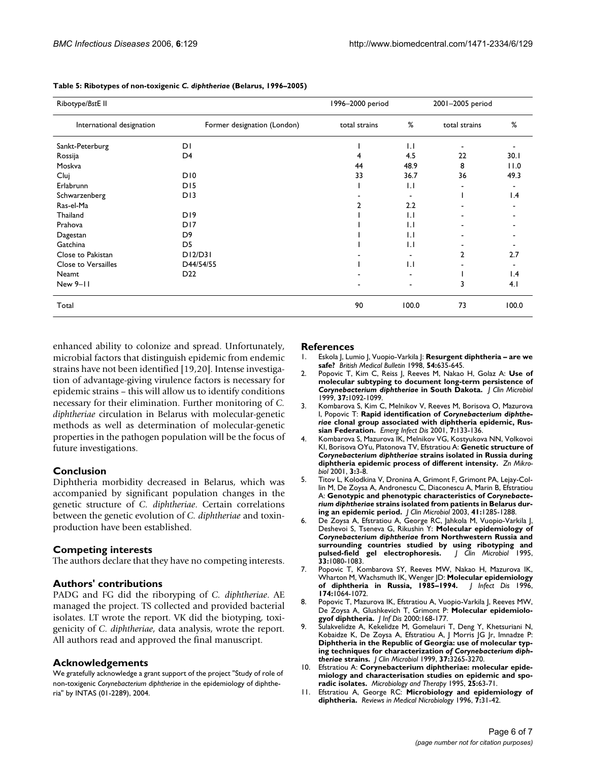| Ribotype/BstE II          | 1996-2000 period            |               | 2001-2005 period |               |       |
|---------------------------|-----------------------------|---------------|------------------|---------------|-------|
| International designation | Former designation (London) | total strains | %                | total strains | %     |
| Sankt-Peterburg           | DΙ                          |               | $\overline{1}$ . |               |       |
| Rossija                   | D4                          |               | 4.5              | 22            | 30.1  |
| Moskva                    |                             | 44            | 48.9             | 8             | 11.0  |
| Cluj                      | D <sub>10</sub>             | 33            | 36.7             | 36            | 49.3  |
| Erlabrunn                 | D <sub>15</sub>             |               | $\overline{1}$ . |               |       |
| Schwarzenberg             | DI3                         |               |                  |               | 1.4   |
| Ras-el-Ma                 |                             |               | 2.2              |               |       |
| Thailand                  | D <sub>19</sub>             |               | 1.1              |               |       |
| Prahova                   | D <sub>17</sub>             |               | $\mathbf{L}$     |               |       |
| Dagestan                  | D <sub>9</sub>              |               | 1.1              |               |       |
| Gatchina                  | D <sub>5</sub>              |               | $\mathbf{L}$     |               |       |
| Close to Pakistan         | DI2/D3I                     |               |                  | 2             | 2.7   |
| Close to Versailles       | D44/54/55                   |               | 1.1              |               |       |
| Neamt                     | D <sub>22</sub>             |               |                  |               | 1.4   |
| New 9-11                  |                             |               | $\blacksquare$   | 3             | 4.1   |
| Total                     |                             | 90            | 100.0            | 73            | 100.0 |

**Table 5: Ribotypes of non-toxigenic** *C. diphtheriae* **(Belarus, 1996–2005)**

enhanced ability to colonize and spread. Unfortunately, microbial factors that distinguish epidemic from endemic strains have not been identified [19,20]. Intense investigation of advantage-giving virulence factors is necessary for epidemic strains – this will allow us to identify conditions necessary for their elimination. Further monitoring of *C. diphtheriae* circulation in Belarus with molecular-genetic methods as well as determination of molecular-genetic properties in the pathogen population will be the focus of future investigations.

#### **Conclusion**

Diphtheria morbidity decreased in Belarus, which was accompanied by significant population changes in the genetic structure of *C. diphtheriae*. Certain correlations between the genetic evolution of *C. diphtheriae* and toxinproduction have been established.

#### **Competing interests**

The authors declare that they have no competing interests.

#### **Authors' contributions**

PADG and FG did the riboryping of *C. diphtheriae*. AE managed the project. TS collected and provided bacterial isolates. LT wrote the report. VK did the biotyping, toxigenicity of *C. diphtheriae*, data analysis, wrote the report. All authors read and approved the final manuscript.

#### **Acknowledgements**

We gratefully acknowledge a grant support of the project "Study of role of non-toxigenic *Corynebacterium diphtheriae* in the epidemiology of diphtheria" by INTAS (01-2289), 2004.

#### **References**

- 1. Eskola J, Lumio J, Vuopio-Varkila J: **[Resurgent diphtheria are we](http://www.ncbi.nlm.nih.gov/entrez/query.fcgi?cmd=Retrieve&db=PubMed&dopt=Abstract&list_uids=10326290) [safe?](http://www.ncbi.nlm.nih.gov/entrez/query.fcgi?cmd=Retrieve&db=PubMed&dopt=Abstract&list_uids=10326290)** *British Medical Bulletin* 1998, **54:**635-645.
- 2. Popovic T, Kim C, Reiss J, Reeves M, Nakao H, Golaz A: **Use of molecular subtyping to document long-term persistence of** *Corynebacterium diphtheriae* **[in South Dakota.](http://www.ncbi.nlm.nih.gov/entrez/query.fcgi?cmd=Retrieve&db=PubMed&dopt=Abstract&list_uids=10074531)** *J Clin Microbiol* 1999, **37:**1092-1099.
- <span id="page-5-0"></span>3. Kombarova S, Kim C, Melnikov V, Reeves M, Borisova O, Mazurova I, Popovic T: **Rapid identification of** *Corynebacterium diphtheriae* **[clonal group associated with diphtheria epidemic, Rus](http://www.ncbi.nlm.nih.gov/entrez/query.fcgi?cmd=Retrieve&db=PubMed&dopt=Abstract&list_uids=11266304)[sian Federation.](http://www.ncbi.nlm.nih.gov/entrez/query.fcgi?cmd=Retrieve&db=PubMed&dopt=Abstract&list_uids=11266304)** *Emerg Infect Dis* 2001, **7:**133-136.
- 4. Kombarova S, Mazurova IK, Melnikov VG, Kostyukova NN, Volkovoi KI, Borisova OYu, Platonova TV, Efstratiou A: **Genetic structure of** *Corynebacterium diphtheriae* **strains isolated in Russia during diphtheria epidemic process of different intensity.** *Zn Mikrobiol* 2001, **3:**3-8.
- 5. Titov L, Kolodkina V, Dronina A, Grimont F, Grimont PA, Lejay-Collin M, De Zoysa A, Andronescu C, Diaconescu A, Marin B, Efstratiou A: **Genotypic and phenotypic characteristics of** *Corynebacterium diphtheriae* **[strains isolated from patients in Belarus dur](http://www.ncbi.nlm.nih.gov/entrez/query.fcgi?cmd=Retrieve&db=PubMed&dopt=Abstract&list_uids=12624069)[ing an epidemic period.](http://www.ncbi.nlm.nih.gov/entrez/query.fcgi?cmd=Retrieve&db=PubMed&dopt=Abstract&list_uids=12624069)** *J Clin Microbiol* 2003, **41:**1285-1288.
- 6. De Zoysa A, Efstratiou A, George RC, Jahkola M, Vuopio-Varkila J, Deshevoi S, Tseneva G, Rikushin Y: **Molecular epidemiology of** *Corynebacterium diphtheriae* **[from Northwestern Russia and](http://www.ncbi.nlm.nih.gov/entrez/query.fcgi?cmd=Retrieve&db=PubMed&dopt=Abstract&list_uids=7615709) [surrounding countries studied by using ribotyping and](http://www.ncbi.nlm.nih.gov/entrez/query.fcgi?cmd=Retrieve&db=PubMed&dopt=Abstract&list_uids=7615709) [pulsed-field gel electrophoresis.](http://www.ncbi.nlm.nih.gov/entrez/query.fcgi?cmd=Retrieve&db=PubMed&dopt=Abstract&list_uids=7615709)** *J Clin Microbiol* 1995, **33:**1080-1083.
- 7. Popovic T, Kombarova SY, Reeves MW, Nakao H, Mazurova IK, Wharton M, Wachsmuth IK, Wenger JD: **[Molecular epidemiology](http://www.ncbi.nlm.nih.gov/entrez/query.fcgi?cmd=Retrieve&db=PubMed&dopt=Abstract&list_uids=8896510) [of diphtheria in Russia, 1985–1994.](http://www.ncbi.nlm.nih.gov/entrez/query.fcgi?cmd=Retrieve&db=PubMed&dopt=Abstract&list_uids=8896510)** *J Infect Dis* 1996, **174:**1064-1072.
- 8. Popovic T, Mazurova IK, Efstratiou A, Vuopio-Varkila J, Reeves MW, De Zoysa A, Glushkevich T, Grimont P: **Molecular epidemiologyof diphtheria.** *J Inf Dis* 2000:168-177.
- 9. Sulakvelidze A, Kekelidze M, Gomelauri T, Deng Y, Khetsuriani N, Kobaidze K, De Zoysa A, Efstratiou A, J Morris JG Jr, Imnadze P: **Diphtheria in the Republic of Georgia: use of molecular typing techniques for characterization** *of Corynebacterium diphtheriae* **[strains.](http://www.ncbi.nlm.nih.gov/entrez/query.fcgi?cmd=Retrieve&db=PubMed&dopt=Abstract&list_uids=10488190)** *J Clin Microbiol* 1999, **37:**3265-3270.
- 10. Efstratiou A: **Corynebacterium diphtheriae: molecular epidemiology and characterisation studies on epidemic and sporadic isolates.** *Microbiology and Therapy* 1995, **25:**63-71.
- 11. Efstratiou A, George RC: **Microbiology and epidemiology of diphtheria.** *Reviews in Medical Nicrobiology* 1996, **7:**31-42.